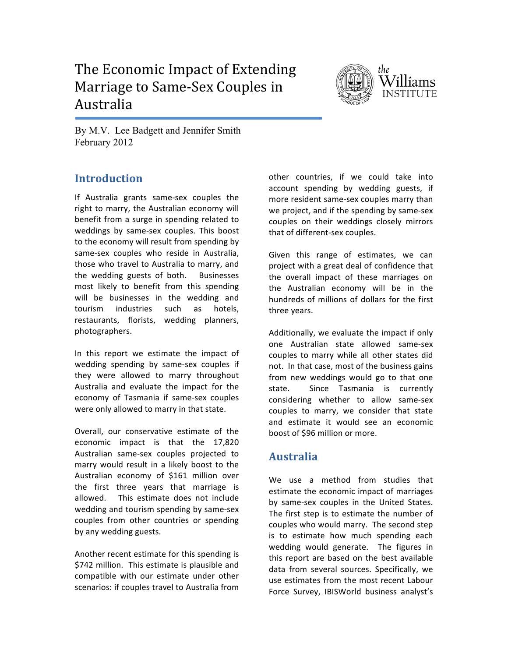# The Economic Impact of Extending Marriage to Same-Sex Couples in Australia



By M.V. Lee Badgett and Jennifer Smith February 2012

# **Introduction**

If Australia grants same-sex couples the right to marry, the Australian economy will benefit from a surge in spending related to weddings by same-sex couples. This boost to the economy will result from spending by same-sex couples who reside in Australia, those who travel to Australia to marry, and the wedding guests of both. Businesses most likely to benefit from this spending will be businesses in the wedding and tourism industries such as hotels, restaurants, florists, wedding planners, photographers.#

In this report we estimate the impact of wedding spending by same-sex couples if they were allowed to marry throughout Australia and evaluate the impact for the economy of Tasmania if same-sex couples were only allowed to marry in that state.

Overall, our conservative estimate of the economic impact is that the 17,820 Australian same-sex couples projected to marry would result in a likely boost to the Australian economy of \$161 million over the first three years that marriage is allowed. This estimate does not include wedding and tourism spending by same-sex couples from other countries or spending by any wedding guests.

Another recent estimate for this spending is \$742 million. This estimate is plausible and compatible with our estimate under other scenarios: if couples travel to Australia from other countries, if we could take into account spending by wedding guests, if more resident same-sex couples marry than we project, and if the spending by same-sex couples on their weddings closely mirrors that of different-sex couples.

Given this range of estimates, we can project with a great deal of confidence that the overall impact of these marriages on the Australian economy will be in the hundreds of millions of dollars for the first three years.

Additionally, we evaluate the impact if only one Australian state allowed same-sex couples to marry while all other states did not. In that case, most of the business gains from new weddings would go to that one state.# # Since# Tasmania# is# currently# considering whether to allow same-sex couples to marry, we consider that state and estimate it would see an economic boost of \$96 million or more.

# **Australia**

We use a method from studies that estimate the economic impact of marriages by same-sex couples in the United States. The first step is to estimate the number of couples who would marry. The second step is to estimate how much spending each wedding would generate. The figures in this report are based on the best available data from several sources. Specifically, we use estimates from the most recent Labour Force Survey, IBISWorld business analyst's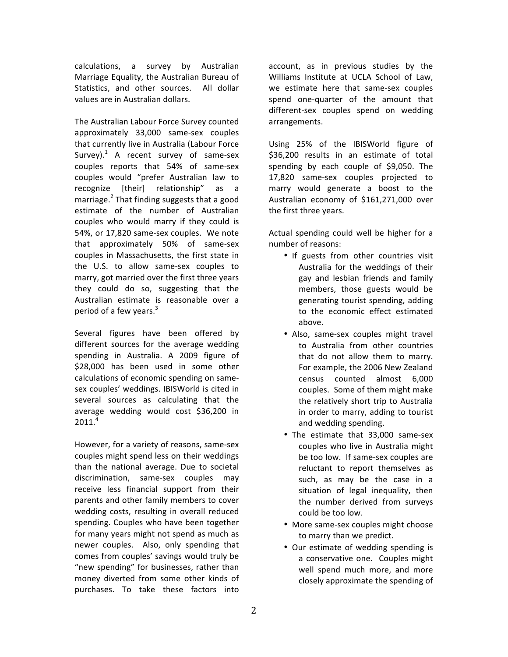calculations, a survey by Australian Marriage Equality, the Australian Bureau of Statistics, and other sources. All dollar values are in Australian dollars.

The Australian Labour Force Survey counted approximately 33,000 same-sex couples that currently live in Australia (Labour Force Survey). $1$  A recent survey of same-sex couples reports that 54% of same-sex couples would "prefer Australian law to recognize [their] relationship" as a marriage. $^{2}$  That finding suggests that a good estimate of the number of Australian couples who would marry if they could is 54%, or 17,820 same-sex couples. We note that approximately  $50\%$  of same-sex couples in Massachusetts, the first state in the U.S. to allow same-sex couples to marry, got married over the first three years they could do so, suggesting that the Australian estimate is reasonable over a period of a few years.<sup>3</sup>

Several figures have been offered by different sources for the average wedding spending in Australia. A 2009 figure of  $$28,000$  has been used in some other calculations of economic spending on samesex couples' weddings. IBISWorld is cited in several sources as calculating that the average wedding would cost \$36,200 in  $2011.<sup>4</sup>$ 

However, for a variety of reasons, same-sex couples might spend less on their weddings than the national average. Due to societal discrimination, same-sex couples may receive less financial support from their parents and other family members to cover wedding costs, resulting in overall reduced spending. Couples who have been together for many years might not spend as much as newer couples. Also, only spending that comes from couples' savings would truly be "new spending" for businesses, rather than money diverted from some other kinds of purchases. To take these factors into

account, as in previous studies by the Williams Institute at UCLA School of Law, we estimate here that same-sex couples spend one-quarter of the amount that different-sex couples spend on wedding arrangements.

Using 25% of the IBISWorld figure of \$36,200 results in an estimate of total spending by each couple of \$9,050. The 17,820 same-sex couples projected to marry would generate a boost to the Australian economy of \$161,271,000 over the first three years.

Actual spending could well be higher for a number of reasons:

- If guests from other countries visit Australia for the weddings of their gay and lesbian friends and family members, those guests would be generating tourist spending, adding to the economic effect estimated above.
- Also, same-sex couples might travel to Australia from other countries that do not allow them to marry. For example, the 2006 New Zealand census counted almost 6,000 couples. Some of them might make the relatively short trip to Australia in order to marry, adding to tourist and wedding spending.
- The estimate that  $33,000$  same-sex couples who live in Australia might be too low. If same-sex couples are reluctant to report themselves as such, as may be the case in a situation of legal inequality, then the number derived from surveys could be too low.
- More same-sex couples might choose to marry than we predict.
- Our estimate of wedding spending is a conservative one. Couples might well spend much more, and more closely approximate the spending of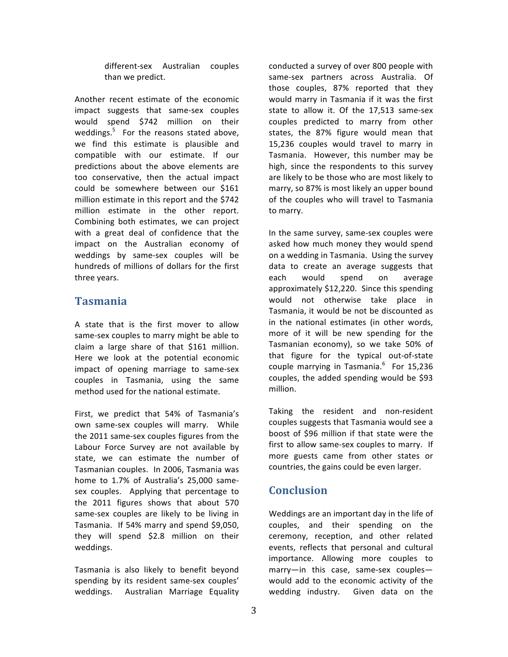different-sex Australian couples than we predict.

Another recent estimate of the economic impact suggests that same-sex couples would spend \$742 million on their weddings. $5$  For the reasons stated above, we find this estimate is plausible and compatible with our estimate. If our predictions about the above elements are too conservative, then the actual impact could be somewhere between our \$161 million estimate in this report and the \$742 million estimate in the other report. Combining both estimates, we can project with a great deal of confidence that the impact on the Australian economy of weddings by same-sex couples will be hundreds of millions of dollars for the first three years.

## **Tasmania**

A state that is the first mover to allow same-sex couples to marry might be able to claim a large share of that \$161 million. Here we look at the potential economic impact of opening marriage to same-sex couples in Tasmania, using the same method used for the national estimate.

First, we predict that 54% of Tasmania's own same-sex couples will marry. While the 2011 same-sex couples figures from the Labour Force Survey are not available by state, we can estimate the number of Tasmanian couples. In 2006, Tasmania was home to 1.7% of Australia's 25,000 samesex couples. Applying that percentage to the  $2011$  figures shows that about 570 same-sex couples are likely to be living in Tasmania. If 54% marry and spend \$9,050, they will spend \$2.8 million on their weddings.

Tasmania is also likely to benefit beyond spending by its resident same-sex couples' weddings. Australian Marriage Equality conducted a survey of over 800 people with same-sex partners across Australia. Of those couples, 87% reported that they would marry in Tasmania if it was the first state to allow it. Of the  $17,513$  same-sex couples predicted to marry from other states, the 87% figure would mean that 15,236 couples would travel to marry in Tasmania. However, this number may be high, since the respondents to this survey are likely to be those who are most likely to marry, so 87% is most likely an upper bound of the couples who will travel to Tasmania to marry.

In the same survey, same-sex couples were asked how much money they would spend on a wedding in Tasmania. Using the survey data to create an average suggests that each would spend on average approximately  $$12,220$ . Since this spending would not otherwise take place in Tasmania, it would be not be discounted as in the national estimates (in other words, more of it will be new spending for the Tasmanian economy), so we take 50% of that figure for the typical out-of-state couple marrying in Tasmania. $^6$  For 15,236 couples, the added spending would be \$93 million.

Taking the resident and non-resident couples suggests that Tasmania would see a boost of \$96 million if that state were the first to allow same-sex couples to marry. If more guests came from other states or countries, the gains could be even larger.

#### **Conclusion**

Weddings are an important day in the life of couples, and their spending on the ceremony, reception, and other related events, reflects that personal and cultural importance. Allowing more couples to marry—in this case, same-sex couples would add to the economic activity of the wedding industry. Given data on the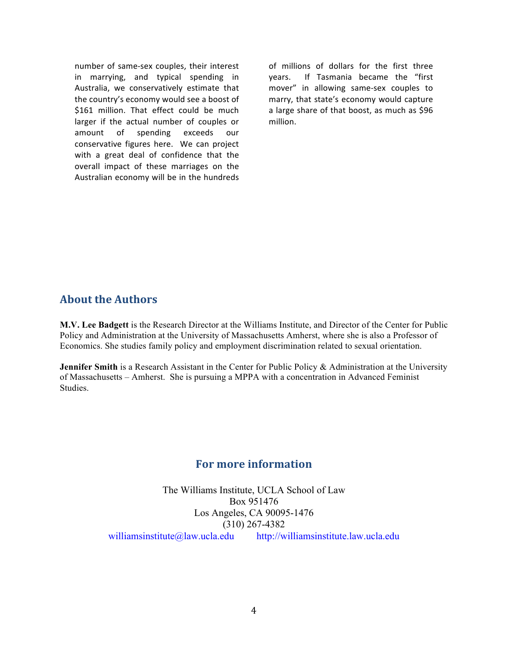number of same-sex couples, their interest in marrying, and typical spending in Australia, we conservatively estimate that the country's economy would see a boost of \$161 million. That effect could be much larger if the actual number of couples or amount of spending exceeds our conservative figures here. We can project with a great deal of confidence that the overall impact of these marriages on the Australian economy will be in the hundreds

of millions of dollars for the first three years. If Tasmania became the "first mover" in allowing same-sex couples to marry, that state's economy would capture a large share of that boost, as much as \$96 million.

### **About the Authors**

**M.V. Lee Badgett** is the Research Director at the Williams Institute, and Director of the Center for Public Policy and Administration at the University of Massachusetts Amherst, where she is also a Professor of Economics. She studies family policy and employment discrimination related to sexual orientation.

**Jennifer Smith** is a Research Assistant in the Center for Public Policy & Administration at the University of Massachusetts – Amherst. She is pursuing a MPPA with a concentration in Advanced Feminist Studies.

## **For more information**

The Williams Institute, UCLA School of Law Box 951476 Los Angeles, CA 90095-1476 (310) 267-4382 williamsinstitute@law.ucla.edu http://williamsinstitute.law.ucla.edu